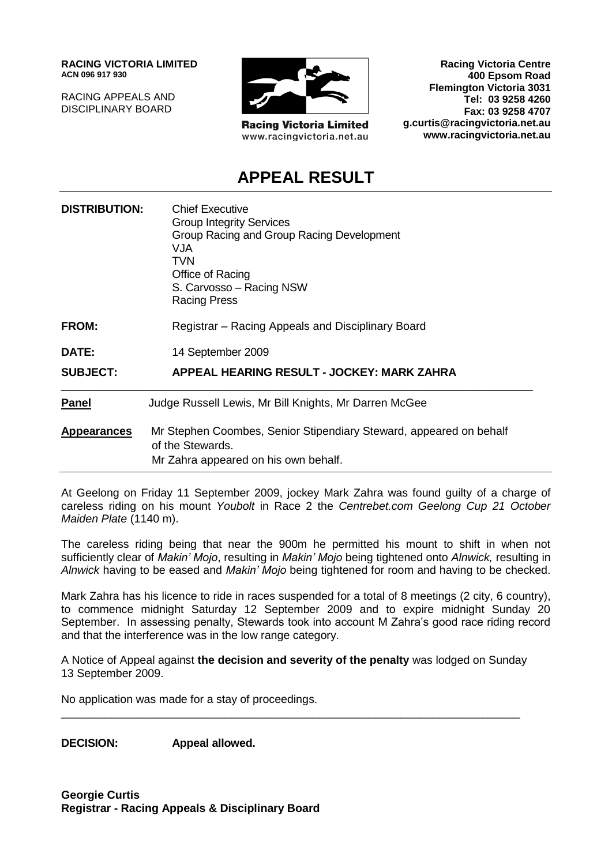**RACING VICTORIA LIMITED ACN 096 917 930**

RACING APPEALS AND DISCIPLINARY BOARD



**Racing Victoria Limited** www.racingvictoria.net.au

**Racing Victoria Centre 400 Epsom Road Flemington Victoria 3031 Tel: 03 9258 4260 Fax: 03 9258 4707 g.curtis@racingvictoria.net.au www.racingvictoria.net.au**

## **APPEAL RESULT**

| <b>DISTRIBUTION:</b> | <b>Chief Executive</b><br><b>Group Integrity Services</b><br>Group Racing and Group Racing Development<br>VJA<br>TVN<br>Office of Racing<br>S. Carvosso - Racing NSW<br><b>Racing Press</b> |
|----------------------|---------------------------------------------------------------------------------------------------------------------------------------------------------------------------------------------|
| <b>FROM:</b>         | Registrar – Racing Appeals and Disciplinary Board                                                                                                                                           |
| DATE:                | 14 September 2009                                                                                                                                                                           |
| <b>SUBJECT:</b>      | APPEAL HEARING RESULT - JOCKEY: MARK ZAHRA                                                                                                                                                  |
| <b>Panel</b>         | Judge Russell Lewis, Mr Bill Knights, Mr Darren McGee                                                                                                                                       |
| <b>Appearances</b>   | Mr Stephen Coombes, Senior Stipendiary Steward, appeared on behalf<br>of the Stewards.<br>Mr Zahra appeared on his own behalf.                                                              |

At Geelong on Friday 11 September 2009, jockey Mark Zahra was found guilty of a charge of careless riding on his mount *Youbolt* in Race 2 the *Centrebet.com Geelong Cup 21 October Maiden Plate* (1140 m).

The careless riding being that near the 900m he permitted his mount to shift in when not sufficiently clear of *Makin' Mojo*, resulting in *Makin' Mojo* being tightened onto *Alnwick,* resulting in *Alnwick* having to be eased and *Makin' Mojo* being tightened for room and having to be checked.

Mark Zahra has his licence to ride in races suspended for a total of 8 meetings (2 city, 6 country), to commence midnight Saturday 12 September 2009 and to expire midnight Sunday 20 September. In assessing penalty, Stewards took into account M Zahra's good race riding record and that the interference was in the low range category.

A Notice of Appeal against **the decision and severity of the penalty** was lodged on Sunday 13 September 2009.

\_\_\_\_\_\_\_\_\_\_\_\_\_\_\_\_\_\_\_\_\_\_\_\_\_\_\_\_\_\_\_\_\_\_\_\_\_\_\_\_\_\_\_\_\_\_\_\_\_\_\_\_\_\_\_\_\_\_\_\_\_\_\_\_\_\_\_\_\_\_\_\_\_

No application was made for a stay of proceedings.

**DECISION: Appeal allowed.**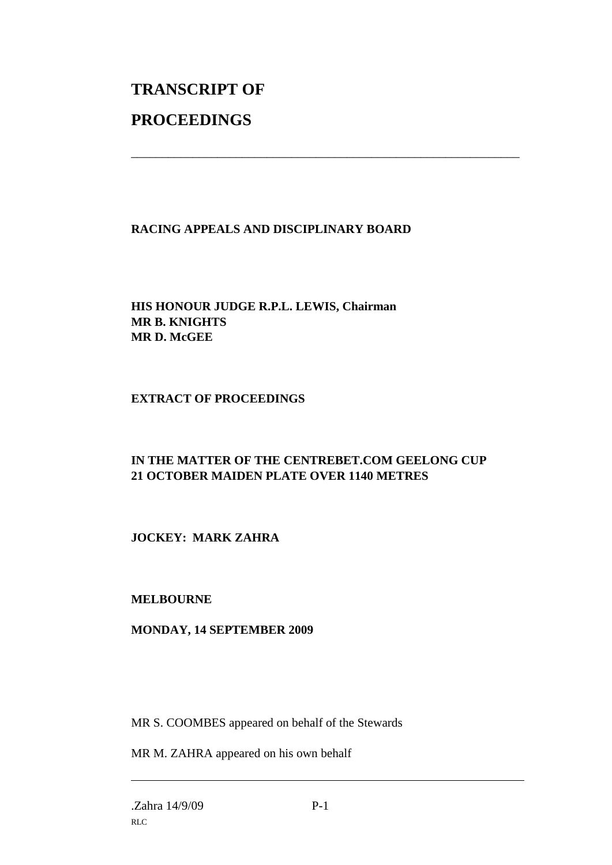# **TRANSCRIPT OF PROCEEDINGS**

#### **RACING APPEALS AND DISCIPLINARY BOARD**

\_\_\_\_\_\_\_\_\_\_\_\_\_\_\_\_\_\_\_\_\_\_\_\_\_\_\_\_\_\_\_\_\_\_\_\_\_\_\_\_\_\_\_\_\_\_\_\_\_\_\_\_\_\_\_\_\_\_\_\_\_\_\_

#### **HIS HONOUR JUDGE R.P.L. LEWIS, Chairman MR B. KNIGHTS MR D. McGEE**

#### **EXTRACT OF PROCEEDINGS**

#### **IN THE MATTER OF THE CENTREBET.COM GEELONG CUP 21 OCTOBER MAIDEN PLATE OVER 1140 METRES**

**JOCKEY: MARK ZAHRA**

#### **MELBOURNE**

#### **MONDAY, 14 SEPTEMBER 2009**

MR S. COOMBES appeared on behalf of the Stewards

MR M. ZAHRA appeared on his own behalf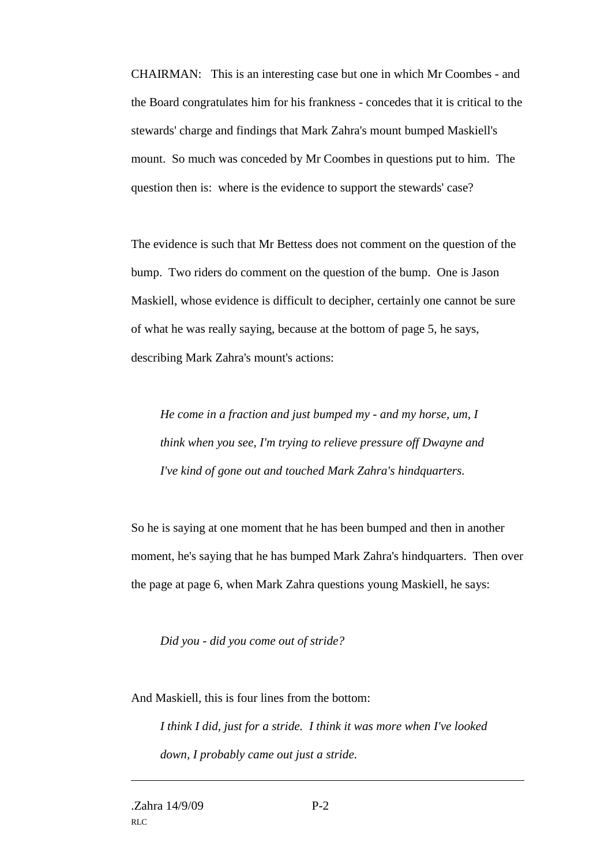CHAIRMAN: This is an interesting case but one in which Mr Coombes - and the Board congratulates him for his frankness - concedes that it is critical to the stewards' charge and findings that Mark Zahra's mount bumped Maskiell's mount. So much was conceded by Mr Coombes in questions put to him. The question then is: where is the evidence to support the stewards' case?

The evidence is such that Mr Bettess does not comment on the question of the bump. Two riders do comment on the question of the bump. One is Jason Maskiell, whose evidence is difficult to decipher, certainly one cannot be sure of what he was really saying, because at the bottom of page 5, he says, describing Mark Zahra's mount's actions:

*He come in a fraction and just bumped my - and my horse, um, I think when you see, I'm trying to relieve pressure off Dwayne and I've kind of gone out and touched Mark Zahra's hindquarters.*

So he is saying at one moment that he has been bumped and then in another moment, he's saying that he has bumped Mark Zahra's hindquarters. Then over the page at page 6, when Mark Zahra questions young Maskiell, he says:

*Did you - did you come out of stride?*

And Maskiell, this is four lines from the bottom:

*I think I did, just for a stride. I think it was more when I've looked down, I probably came out just a stride.*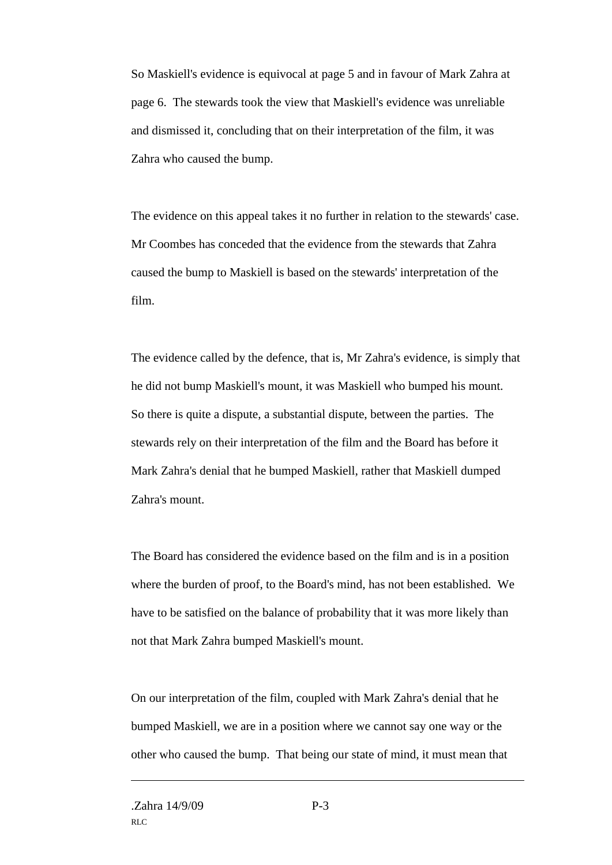So Maskiell's evidence is equivocal at page 5 and in favour of Mark Zahra at page 6. The stewards took the view that Maskiell's evidence was unreliable and dismissed it, concluding that on their interpretation of the film, it was Zahra who caused the bump.

The evidence on this appeal takes it no further in relation to the stewards' case. Mr Coombes has conceded that the evidence from the stewards that Zahra caused the bump to Maskiell is based on the stewards' interpretation of the film.

The evidence called by the defence, that is, Mr Zahra's evidence, is simply that he did not bump Maskiell's mount, it was Maskiell who bumped his mount. So there is quite a dispute, a substantial dispute, between the parties. The stewards rely on their interpretation of the film and the Board has before it Mark Zahra's denial that he bumped Maskiell, rather that Maskiell dumped Zahra's mount.

The Board has considered the evidence based on the film and is in a position where the burden of proof, to the Board's mind, has not been established. We have to be satisfied on the balance of probability that it was more likely than not that Mark Zahra bumped Maskiell's mount.

On our interpretation of the film, coupled with Mark Zahra's denial that he bumped Maskiell, we are in a position where we cannot say one way or the other who caused the bump. That being our state of mind, it must mean that